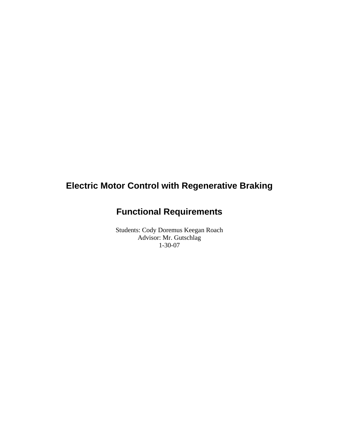# **Electric Motor Control with Regenerative Braking**

# **Functional Requirements**

Students: Cody Doremus Keegan Roach Advisor: Mr. Gutschlag 1-30-07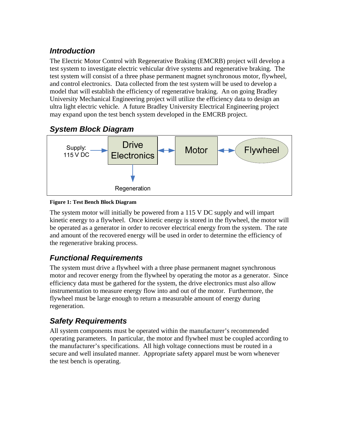## *Introduction*

The Electric Motor Control with Regenerative Braking (EMCRB) project will develop a test system to investigate electric vehicular drive systems and regenerative braking. The test system will consist of a three phase permanent magnet synchronous motor, flywheel, and control electronics. Data collected from the test system will be used to develop a model that will establish the efficiency of regenerative braking. An on going Bradley University Mechanical Engineering project will utilize the efficiency data to design an ultra light electric vehicle. A future Bradley University Electrical Engineering project may expand upon the test bench system developed in the EMCRB project.

### *System Block Diagram*



#### **Figure 1: Test Bench Block Diagram**

The system motor will initially be powered from a 115 V DC supply and will impart kinetic energy to a flywheel. Once kinetic energy is stored in the flywheel, the motor will be operated as a generator in order to recover electrical energy from the system. The rate and amount of the recovered energy will be used in order to determine the efficiency of the regenerative braking process.

### *Functional Requirements*

The system must drive a flywheel with a three phase permanent magnet synchronous motor and recover energy from the flywheel by operating the motor as a generator. Since efficiency data must be gathered for the system, the drive electronics must also allow instrumentation to measure energy flow into and out of the motor. Furthermore, the flywheel must be large enough to return a measurable amount of energy during regeneration.

## *Safety Requirements*

All system components must be operated within the manufacturer's recommended operating parameters. In particular, the motor and flywheel must be coupled according to the manufacturer's specifications. All high voltage connections must be routed in a secure and well insulated manner. Appropriate safety apparel must be worn whenever the test bench is operating.